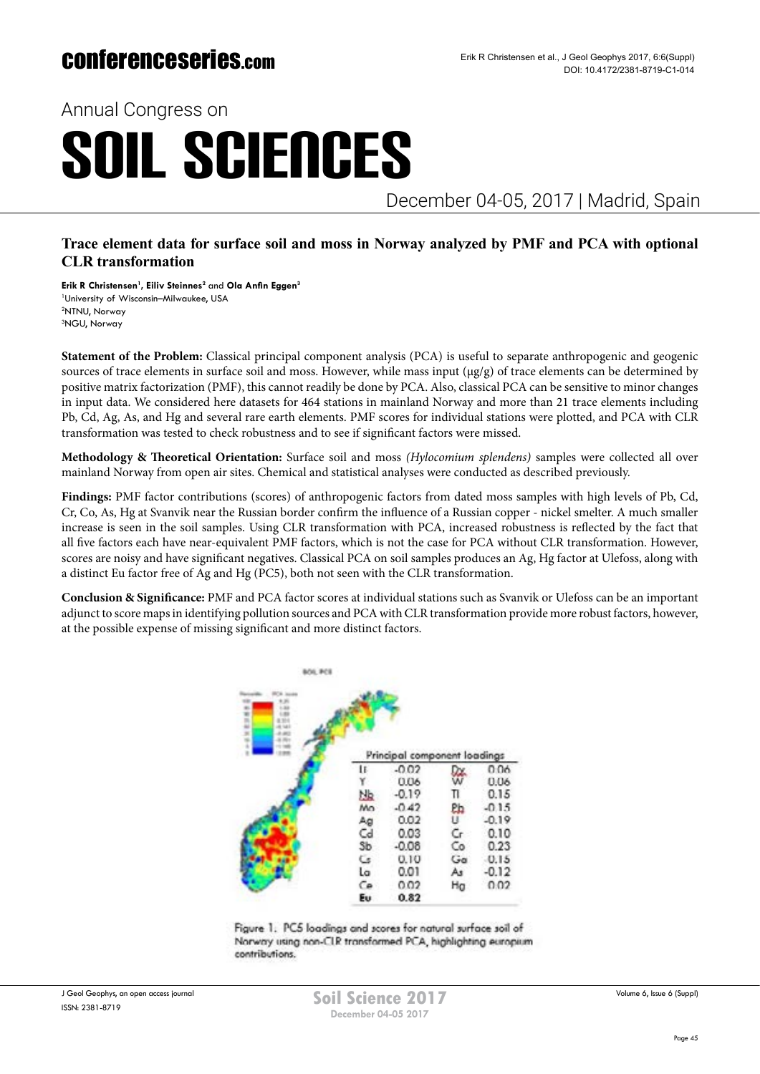## conferenceseries.com

Annual Congress on

# SOIL SCIENCES

December 04-05, 2017 | Madrid, Spain

### **Trace element data for surface soil and moss in Norway analyzed by PMF and PCA with optional CLR transformation**

**Erik R Christensen1 , Eiliv Steinnes2** and **Ola Anfin Eggen<sup>3</sup>** University of Wisconsin–Milwaukee, USA NTNU, Norway NGU, Norway

**Statement of the Problem:** Classical principal component analysis (PCA) is useful to separate anthropogenic and geogenic sources of trace elements in surface soil and moss. However, while mass input  $(\mu g/g)$  of trace elements can be determined by positive matrix factorization (PMF), this cannot readily be done by PCA. Also, classical PCA can be sensitive to minor changes in input data. We considered here datasets for 464 stations in mainland Norway and more than 21 trace elements including Pb, Cd, Ag, As, and Hg and several rare earth elements. PMF scores for individual stations were plotted, and PCA with CLR transformation was tested to check robustness and to see if significant factors were missed.

**Methodology & Theoretical Orientation:** Surface soil and moss *(Hylocomium splendens)* samples were collected all over mainland Norway from open air sites. Chemical and statistical analyses were conducted as described previously.

**Findings:** PMF factor contributions (scores) of anthropogenic factors from dated moss samples with high levels of Pb, Cd, Cr, Co, As, Hg at Svanvik near the Russian border confirm the influence of a Russian copper - nickel smelter. A much smaller increase is seen in the soil samples. Using CLR transformation with PCA, increased robustness is reflected by the fact that all five factors each have near-equivalent PMF factors, which is not the case for PCA without CLR transformation. However, scores are noisy and have significant negatives. Classical PCA on soil samples produces an Ag, Hg factor at Ulefoss, along with a distinct Eu factor free of Ag and Hg (PC5), both not seen with the CLR transformation.

**Conclusion & Significance:** PMF and PCA factor scores at individual stations such as Svanvik or Ulefoss can be an important adjunct to score maps in identifying pollution sources and PCA with CLR transformation provide more robust factors, however, at the possible expense of missing significant and more distinct factors.



Figure 1. PC5 loadings and scores for natural surface soil of Norway using non-CLR transformed PCA, highlighting europium contributions.